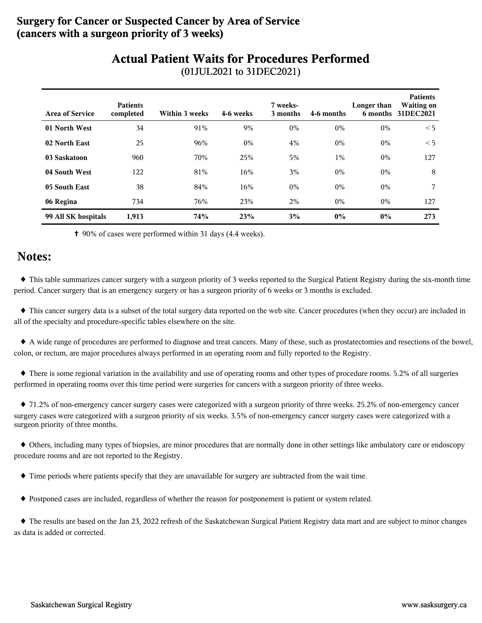### **Surgery for Cancer or Suspected Cancer by Area of Service (cancers with a surgeon priority of 3 weeks)**

# **Actual Patient Waits for Procedures Performed**

| <b>Area of Service</b> | <b>Patients</b><br>completed | Within 3 weeks | 4-6 weeks | 7 weeks-<br>3 months | 4-6 months | Longer than | <b>Patients</b><br><b>Waiting on</b><br>6 months 31DEC2021 |
|------------------------|------------------------------|----------------|-----------|----------------------|------------|-------------|------------------------------------------------------------|
| 01 North West          | 34                           | 91%            | 9%        | $0\%$                | $0\%$      | $0\%$       | < 5                                                        |
| 02 North East          | 25                           | 96%            | $0\%$     | 4%                   | $0\%$      | $0\%$       | < 5                                                        |
| 03 Saskatoon           | 960                          | 70%            | 25%       | 5%                   | $1\%$      | $0\%$       | 127                                                        |
| 04 South West          | 122                          | 81%            | 16%       | 3%                   | $0\%$      | $0\%$       | 8                                                          |
| 05 South East          | 38                           | 84%            | 16%       | $0\%$                | $0\%$      | $0\%$       | 7                                                          |
| 06 Regina              | 734                          | 76%            | 23%       | 2%                   | $0\%$      | $0\%$       | 127                                                        |
| 99 All SK hospitals    | 1,913                        | 74%            | 23%       | 3%                   | $0\%$      | $0\%$       | 273                                                        |

(01JUL2021 to 31DEC2021)

✝ 90% of cases were performed within 31 days (4.4 weeks).

### **Notes:**

 ♦ This table summarizes cancer surgery with a surgeon priority of 3 weeks reported to the Surgical Patient Registry during the six-month time period. Cancer surgery that is an emergency surgery or has a surgeon priority of 6 weeks or 3 months is excluded.

 ♦ This cancer surgery data is a subset of the total surgery data reported on the web site. Cancer procedures (when they occur) are included in all of the specialty and procedure-specific tables elsewhere on the site.

 ♦ A wide range of procedures are performed to diagnose and treat cancers. Many of these, such as prostatectomies and resections of the bowel, colon, or rectum, are major procedures always performed in an operating room and fully reported to the Registry.

 ♦ There is some regional variation in the availability and use of operating rooms and other types of procedure rooms. 5.2% of all surgeries performed in operating rooms over this time period were surgeries for cancers with a surgeon priority of three weeks.

 ♦ 71.2% of non-emergency cancer surgery cases were categorized with a surgeon priority of three weeks. 25.2% of non-emergency cancer surgery cases were categorized with a surgeon priority of six weeks. 3.5% of non-emergency cancer surgery cases were categorized with a surgeon priority of three months.

 ♦ Others, including many types of biopsies, are minor procedures that are normally done in other settings like ambulatory care or endoscopy procedure rooms and are not reported to the Registry.

♦ Time periods where patients specify that they are unavailable for surgery are subtracted from the wait time.

♦ Postponed cases are included, regardless of whether the reason for postponement is patient or system related.

 ♦ The results are based on the Jan 23, 2022 refresh of the Saskatchewan Surgical Patient Registry data mart and are subject to minor changes as data is added or corrected.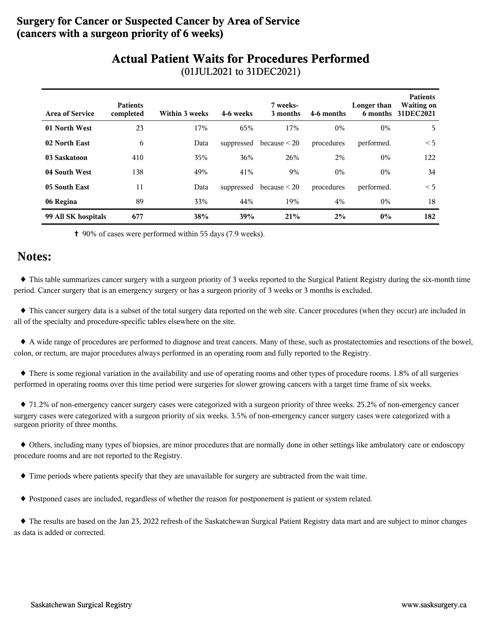### **Surgery for Cancer or Suspected Cancer by Area of Service (cancers with a surgeon priority of 6 weeks)**

# **Actual Patient Waits for Procedures Performed**

| <b>Area of Service</b> | <b>Patients</b><br>completed | Within 3 weeks | 4-6 weeks  | 7 weeks-<br>3 months         | 4-6 months | Longer than | <b>Patients</b><br><b>Waiting on</b><br>6 months 31DEC2021 |
|------------------------|------------------------------|----------------|------------|------------------------------|------------|-------------|------------------------------------------------------------|
| 01 North West          | 23                           | 17%            | 65%        | 17%                          | 0%         | $0\%$       | 5                                                          |
| 02 North East          | 6                            | Data           |            | suppressed because $\leq$ 20 | procedures | performed.  | < 5                                                        |
| 03 Saskatoon           | 410                          | 35%            | 36%        | 26%                          | 2%         | $0\%$       | 122                                                        |
| 04 South West          | 138                          | 49%            | 41%        | 9%                           | $0\%$      | $0\%$       | 34                                                         |
| 05 South East          | 11                           | Data           | suppressed | because $\leq$ 20            | procedures | performed.  | < 5                                                        |
| 06 Regina              | 89                           | 33%            | 44%        | 19%                          | 4%         | $0\%$       | 18                                                         |
| 99 All SK hospitals    | 677                          | 38%            | 39%        | 21%                          | 2%         | $0\%$       | 182                                                        |

(01JUL2021 to 31DEC2021)

✝ 90% of cases were performed within 55 days (7.9 weeks).

### **Notes:**

 ♦ This table summarizes cancer surgery with a surgeon priority of 3 weeks reported to the Surgical Patient Registry during the six-month time period. Cancer surgery that is an emergency surgery or has a surgeon priority of 3 weeks or 3 months is excluded.

 ♦ This cancer surgery data is a subset of the total surgery data reported on the web site. Cancer procedures (when they occur) are included in all of the specialty and procedure-specific tables elsewhere on the site.

 ♦ A wide range of procedures are performed to diagnose and treat cancers. Many of these, such as prostatectomies and resections of the bowel, colon, or rectum, are major procedures always performed in an operating room and fully reported to the Registry.

 ♦ There is some regional variation in the availability and use of operating rooms and other types of procedure rooms. 1.8% of all surgeries performed in operating rooms over this time period were surgeries for slower growing cancers with a target time frame of six weeks.

 ♦ 71.2% of non-emergency cancer surgery cases were categorized with a surgeon priority of three weeks. 25.2% of non-emergency cancer surgery cases were categorized with a surgeon priority of six weeks. 3.5% of non-emergency cancer surgery cases were categorized with a surgeon priority of three months.

 ♦ Others, including many types of biopsies, are minor procedures that are normally done in other settings like ambulatory care or endoscopy procedure rooms and are not reported to the Registry.

♦ Time periods where patients specify that they are unavailable for surgery are subtracted from the wait time.

♦ Postponed cases are included, regardless of whether the reason for postponement is patient or system related.

 ♦ The results are based on the Jan 23, 2022 refresh of the Saskatchewan Surgical Patient Registry data mart and are subject to minor changes as data is added or corrected.